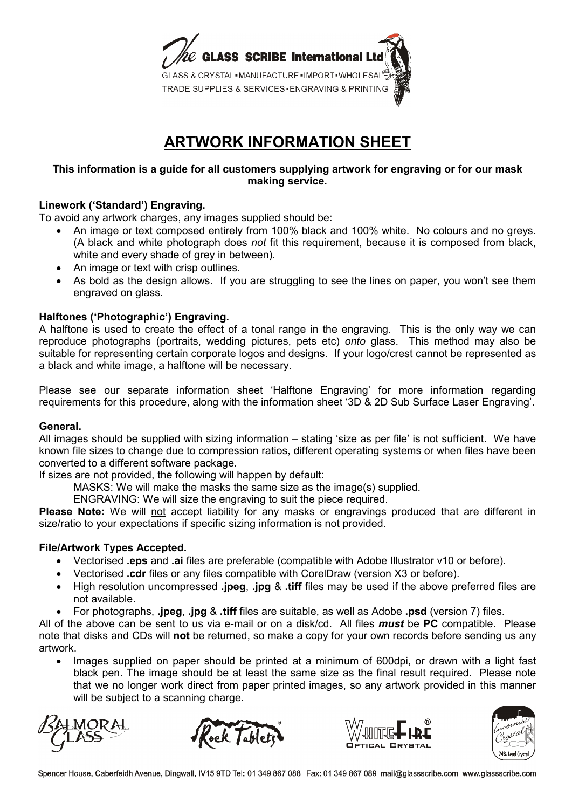

# **ARTWORK INFORMATION SHEET**

### **This information is a guide for all customers supplying artwork for engraving or for our mask making service.**

## **Linework ('Standard') Engraving.**

To avoid any artwork charges, any images supplied should be:

- An image or text composed entirely from 100% black and 100% white. No colours and no greys. (A black and white photograph does *not* fit this requirement, because it is composed from black, white and every shade of grey in between).
- An image or text with crisp outlines.
- As bold as the design allows. If you are struggling to see the lines on paper, you won't see them engraved on glass.

## **Halftones ('Photographic') Engraving.**

A halftone is used to create the effect of a tonal range in the engraving. This is the only way we can reproduce photographs (portraits, wedding pictures, pets etc) *onto* glass. This method may also be suitable for representing certain corporate logos and designs. If your logo/crest cannot be represented as a black and white image, a halftone will be necessary.

Please see our separate information sheet 'Halftone Engraving' for more information regarding requirements for this procedure, along with the information sheet '3D & 2D Sub Surface Laser Engraving'.

### **General.**

All images should be supplied with sizing information – stating 'size as per file' is not sufficient. We have known file sizes to change due to compression ratios, different operating systems or when files have been converted to a different software package.

If sizes are not provided, the following will happen by default:

MASKS: We will make the masks the same size as the image(s) supplied.

ENGRAVING: We will size the engraving to suit the piece required.

**Please Note:** We will not accept liability for any masks or engravings produced that are different in size/ratio to your expectations if specific sizing information is not provided.

### **File/Artwork Types Accepted.**

- Vectorised **.eps** and **.ai** files are preferable (compatible with Adobe Illustrator v10 or before).
- Vectorised **.cdr** files or any files compatible with CorelDraw (version X3 or before).
- High resolution uncompressed **.jpeg**, **.jpg** & **.tiff** files may be used if the above preferred files are not available.
- For photographs, **.jpeg**, **.jpg** & **.tiff** files are suitable, as well as Adobe **.psd** (version 7) files.

All of the above can be sent to us via e-mail or on a disk/cd. All files *must* be **PC** compatible. Please note that disks and CDs will **not** be returned, so make a copy for your own records before sending us any artwork.

• Images supplied on paper should be printed at a minimum of 600dpi, or drawn with a light fast black pen. The image should be at least the same size as the final result required. Please note that we no longer work direct from paper printed images, so any artwork provided in this manner will be subject to a scanning charge.